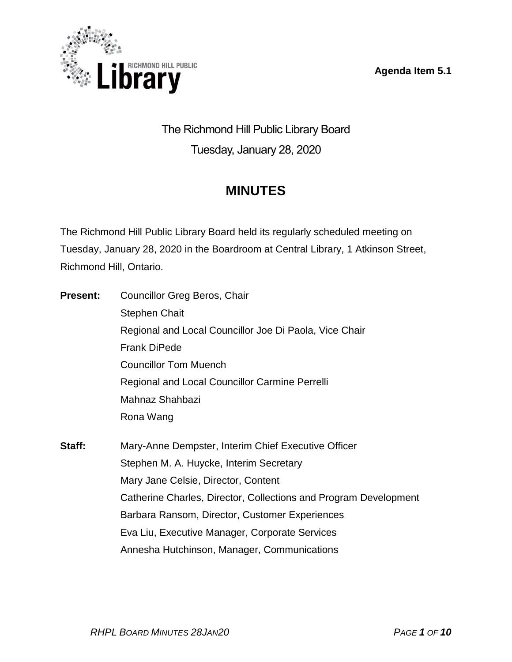**Agenda Item 5.1**



The Richmond Hill Public Library Board Tuesday, January 28, 2020

# **MINUTES**

The Richmond Hill Public Library Board held its regularly scheduled meeting on Tuesday, January 28, 2020 in the Boardroom at Central Library, 1 Atkinson Street, Richmond Hill, Ontario.

| <b>Present:</b> | <b>Councillor Greg Beros, Chair</b>                              |
|-----------------|------------------------------------------------------------------|
|                 | <b>Stephen Chait</b>                                             |
|                 | Regional and Local Councillor Joe Di Paola, Vice Chair           |
|                 | <b>Frank DiPede</b>                                              |
|                 | <b>Councillor Tom Muench</b>                                     |
|                 | Regional and Local Councillor Carmine Perrelli                   |
|                 | Mahnaz Shahbazi                                                  |
|                 | Rona Wang                                                        |
| Staff:          | Mary-Anne Dempster, Interim Chief Executive Officer              |
|                 | Stephen M. A. Huycke, Interim Secretary                          |
|                 | Mary Jane Celsie, Director, Content                              |
|                 | Catherine Charles, Director, Collections and Program Development |
|                 | Barbara Ransom, Director, Customer Experiences                   |
|                 | Eva Liu, Executive Manager, Corporate Services                   |
|                 | Annesha Hutchinson, Manager, Communications                      |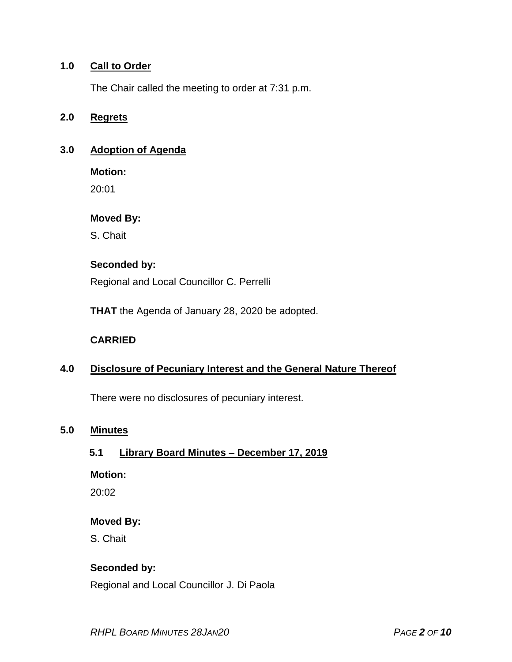#### **1.0 Call to Order**

The Chair called the meeting to order at 7:31 p.m.

#### **2.0 Regrets**

#### **3.0 Adoption of Agenda**

**Motion:**

20:01

#### **Moved By:**

S. Chait

## **Seconded by:**

Regional and Local Councillor C. Perrelli

**THAT** the Agenda of January 28, 2020 be adopted.

#### **CARRIED**

## **4.0 Disclosure of Pecuniary Interest and the General Nature Thereof**

There were no disclosures of pecuniary interest.

#### **5.0 Minutes**

## **5.1 Library Board Minutes – December 17, 2019**

#### **Motion:**

20:02

#### **Moved By:**

S. Chait

## **Seconded by:**

Regional and Local Councillor J. Di Paola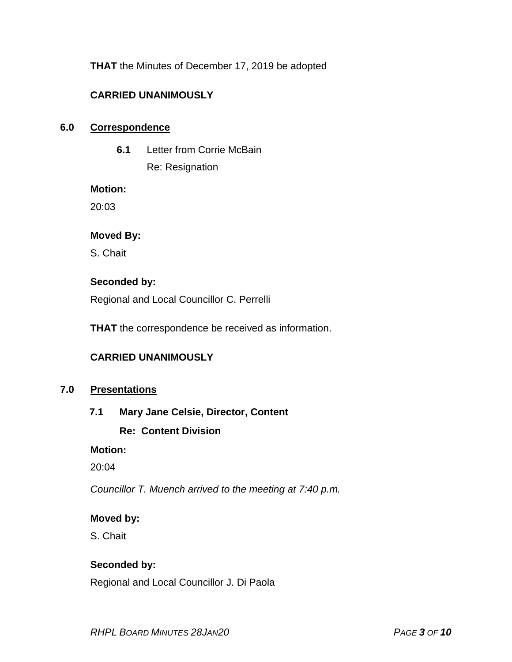**THAT** the Minutes of December 17, 2019 be adopted

## **CARRIED UNANIMOUSLY**

#### **6.0 Correspondence**

**6.1** Letter from Corrie McBain

Re: Resignation

#### **Motion:**

20:03

#### **Moved By:**

S. Chait

## **Seconded by:**

Regional and Local Councillor C. Perrelli

**THAT** the correspondence be received as information.

## **CARRIED UNANIMOUSLY**

## **7.0 Presentations**

## **7.1 Mary Jane Celsie, Director, Content**

## **Re: Content Division**

#### **Motion:**

20:04

*Councillor T. Muench arrived to the meeting at 7:40 p.m.*

#### **Moved by:**

S. Chait

## **Seconded by:**

Regional and Local Councillor J. Di Paola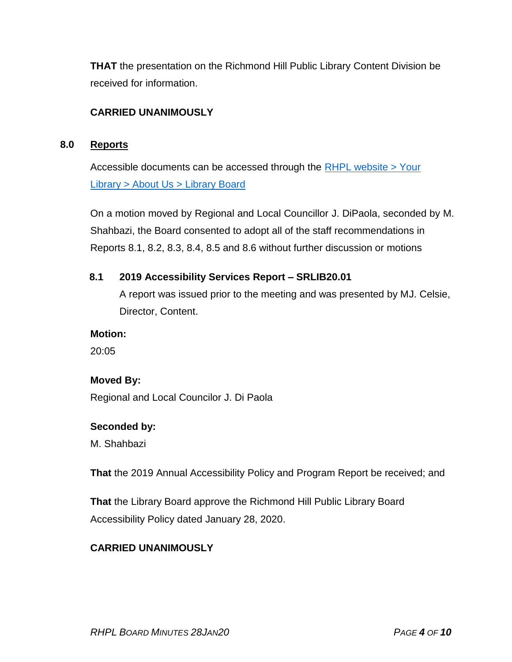**THAT** the presentation on the Richmond Hill Public Library Content Division be received for information.

## **CARRIED UNANIMOUSLY**

#### **8.0 Reports**

Accessible documents can be accessed through the [RHPL website > Your](https://www.rhpl.ca/your-library/about-us/library-board)  Library [> About Us > Library](https://www.rhpl.ca/your-library/about-us/library-board) Board

On a motion moved by Regional and Local Councillor J. DiPaola, seconded by M. Shahbazi, the Board consented to adopt all of the staff recommendations in Reports 8.1, 8.2, 8.3, 8.4, 8.5 and 8.6 without further discussion or motions

#### **8.1 2019 Accessibility Services Report – SRLIB20.01**

A report was issued prior to the meeting and was presented by MJ. Celsie, Director, Content.

#### **Motion:**

20:05

## **Moved By:**

Regional and Local Councilor J. Di Paola

#### **Seconded by:**

M. Shahbazi

**That** the 2019 Annual Accessibility Policy and Program Report be received; and

**That** the Library Board approve the Richmond Hill Public Library Board Accessibility Policy dated January 28, 2020.

## **CARRIED UNANIMOUSLY**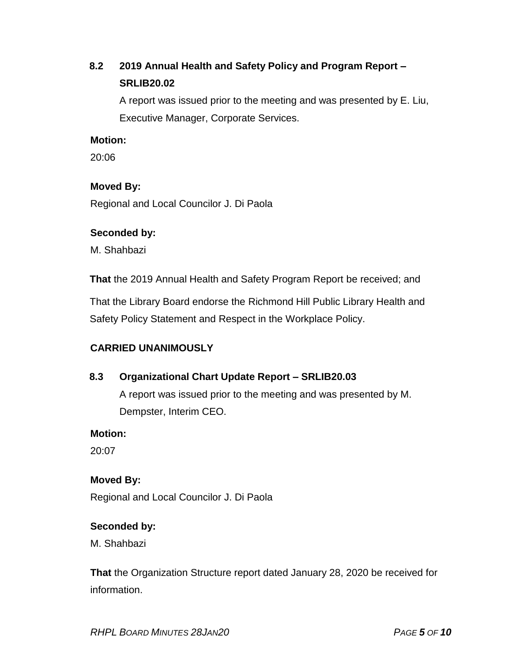## **8.2 2019 Annual Health and Safety Policy and Program Report – SRLIB20.02**

A report was issued prior to the meeting and was presented by E. Liu, Executive Manager, Corporate Services.

#### **Motion:**

20:06

## **Moved By:**

Regional and Local Councilor J. Di Paola

#### **Seconded by:**

M. Shahbazi

**That** the 2019 Annual Health and Safety Program Report be received; and

That the Library Board endorse the Richmond Hill Public Library Health and Safety Policy Statement and Respect in the Workplace Policy.

## **CARRIED UNANIMOUSLY**

## **8.3 Organizational Chart Update Report – SRLIB20.03**

A report was issued prior to the meeting and was presented by M. Dempster, Interim CEO.

**Motion:** 

20:07

## **Moved By:**

Regional and Local Councilor J. Di Paola

## **Seconded by:**

M. Shahbazi

**That** the Organization Structure report dated January 28, 2020 be received for information.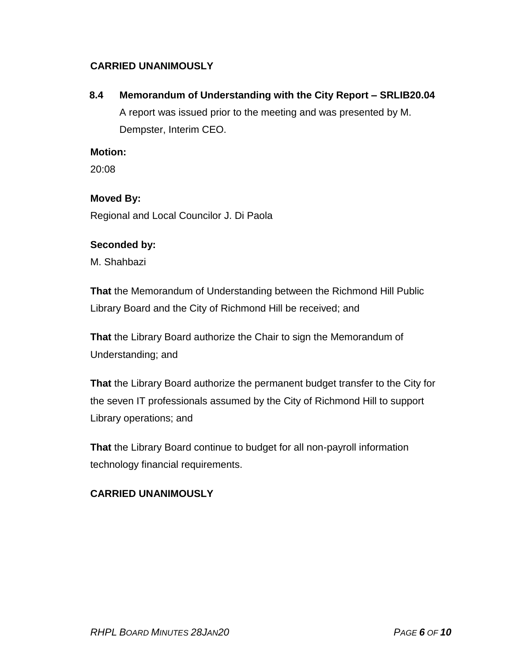## **CARRIED UNANIMOUSLY**

**8.4 Memorandum of Understanding with the City Report – SRLIB20.04** A report was issued prior to the meeting and was presented by M. Dempster, Interim CEO.

#### **Motion:**

20:08

## **Moved By:**

Regional and Local Councilor J. Di Paola

## **Seconded by:**

M. Shahbazi

**That** the Memorandum of Understanding between the Richmond Hill Public Library Board and the City of Richmond Hill be received; and

**That** the Library Board authorize the Chair to sign the Memorandum of Understanding; and

**That** the Library Board authorize the permanent budget transfer to the City for the seven IT professionals assumed by the City of Richmond Hill to support Library operations; and

**That** the Library Board continue to budget for all non-payroll information technology financial requirements.

## **CARRIED UNANIMOUSLY**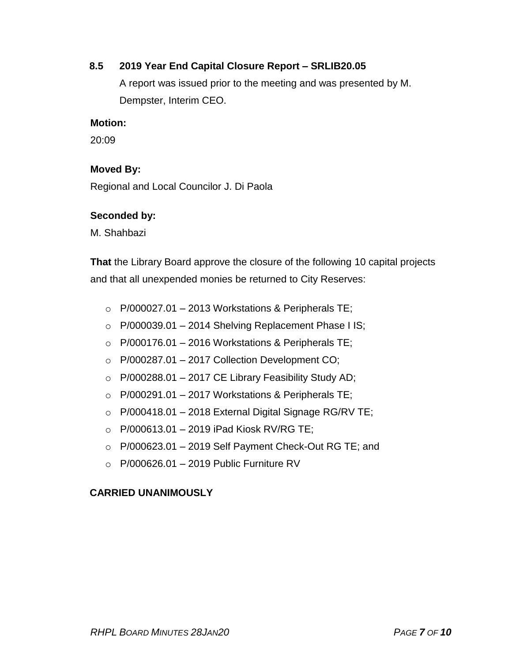#### **8.5 2019 Year End Capital Closure Report – SRLIB20.05**

A report was issued prior to the meeting and was presented by M. Dempster, Interim CEO.

#### **Motion:**

20:09

#### **Moved By:**

Regional and Local Councilor J. Di Paola

#### **Seconded by:**

M. Shahbazi

**That** the Library Board approve the closure of the following 10 capital projects and that all unexpended monies be returned to City Reserves:

- $\circ$  P/000027.01 2013 Workstations & Peripherals TE;
- $\circ$  P/000039.01 2014 Shelving Replacement Phase I IS;
- $\circ$  P/000176.01 2016 Workstations & Peripherals TE;
- $\circ$  P/000287.01 2017 Collection Development CO;
- $\circ$  P/000288.01 2017 CE Library Feasibility Study AD;
- $\circ$  P/000291.01 2017 Workstations & Peripherals TE;
- $\circ$  P/000418.01 2018 External Digital Signage RG/RV TE;
- $\circ$  P/000613.01 2019 iPad Kiosk RV/RG TE;
- $\circ$  P/000623.01 2019 Self Payment Check-Out RG TE; and
- $\circ$  P/000626.01 2019 Public Furniture RV

## **CARRIED UNANIMOUSLY**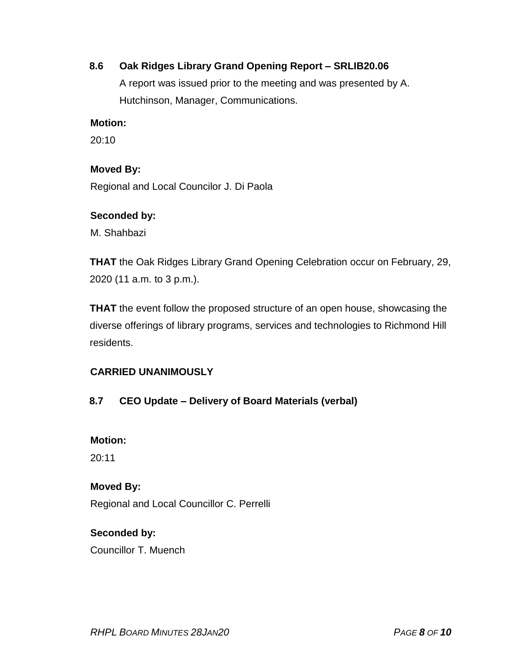## **8.6 Oak Ridges Library Grand Opening Report – SRLIB20.06**

A report was issued prior to the meeting and was presented by A. Hutchinson, Manager, Communications.

#### **Motion:**

20:10

#### **Moved By:**

Regional and Local Councilor J. Di Paola

#### **Seconded by:**

M. Shahbazi

**THAT** the Oak Ridges Library Grand Opening Celebration occur on February, 29, 2020 (11 a.m. to 3 p.m.).

**THAT** the event follow the proposed structure of an open house, showcasing the diverse offerings of library programs, services and technologies to Richmond Hill residents.

## **CARRIED UNANIMOUSLY**

## **8.7 CEO Update – Delivery of Board Materials (verbal)**

## **Motion:**

20:11

## **Moved By:**

Regional and Local Councillor C. Perrelli

## **Seconded by:**

Councillor T. Muench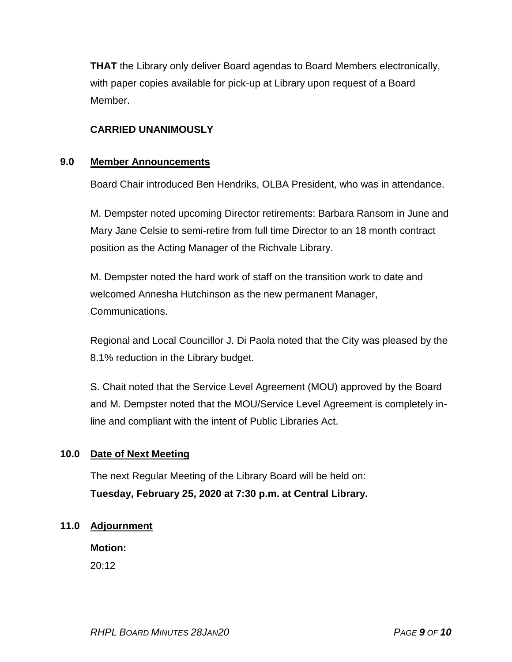**THAT** the Library only deliver Board agendas to Board Members electronically, with paper copies available for pick-up at Library upon request of a Board Member.

## **CARRIED UNANIMOUSLY**

#### **9.0 Member Announcements**

Board Chair introduced Ben Hendriks, OLBA President, who was in attendance.

M. Dempster noted upcoming Director retirements: Barbara Ransom in June and Mary Jane Celsie to semi-retire from full time Director to an 18 month contract position as the Acting Manager of the Richvale Library.

M. Dempster noted the hard work of staff on the transition work to date and welcomed Annesha Hutchinson as the new permanent Manager, Communications.

Regional and Local Councillor J. Di Paola noted that the City was pleased by the 8.1% reduction in the Library budget.

S. Chait noted that the Service Level Agreement (MOU) approved by the Board and M. Dempster noted that the MOU/Service Level Agreement is completely inline and compliant with the intent of Public Libraries Act.

## **10.0 Date of Next Meeting**

The next Regular Meeting of the Library Board will be held on: **Tuesday, February 25, 2020 at 7:30 p.m. at Central Library.**

#### **11.0 Adjournment**

**Motion:** 20:12